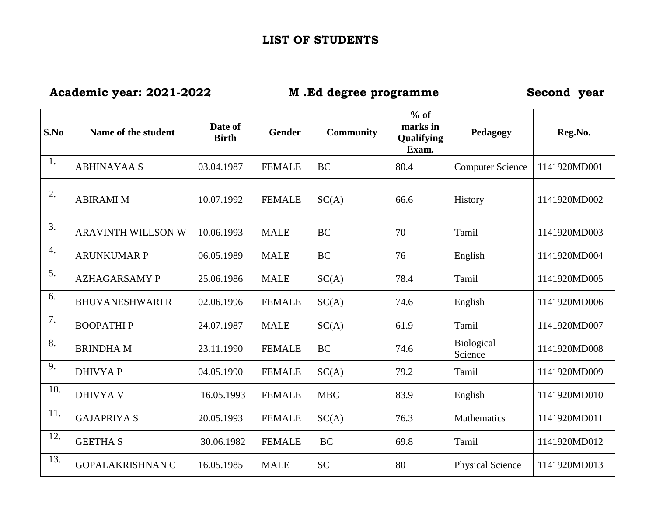## **LIST OF STUDENTS**

**Academic year: 2021-2022 M .Ed degree programme Second year**

| S.No             | Name of the student       | Date of<br><b>Birth</b> | <b>Gender</b> | <b>Community</b> | $%$ of<br>marks in<br>Qualifying<br>Exam. | Pedagogy                | Reg.No.      |
|------------------|---------------------------|-------------------------|---------------|------------------|-------------------------------------------|-------------------------|--------------|
| 1.               | <b>ABHINAYAA S</b>        | 03.04.1987              | <b>FEMALE</b> | <b>BC</b>        | 80.4                                      | <b>Computer Science</b> | 1141920MD001 |
| 2.               | <b>ABIRAMI M</b>          | 10.07.1992              | <b>FEMALE</b> | SC(A)            | 66.6                                      | History                 | 1141920MD002 |
| 3.               | <b>ARAVINTH WILLSON W</b> | 10.06.1993              | <b>MALE</b>   | <b>BC</b>        | 70                                        | Tamil                   | 1141920MD003 |
| $\overline{4}$ . | <b>ARUNKUMAR P</b>        | 06.05.1989              | <b>MALE</b>   | <b>BC</b>        | 76                                        | English                 | 1141920MD004 |
| 5.               | <b>AZHAGARSAMY P</b>      | 25.06.1986              | <b>MALE</b>   | SC(A)            | 78.4                                      | Tamil                   | 1141920MD005 |
| 6.               | <b>BHUVANESHWARI R</b>    | 02.06.1996              | <b>FEMALE</b> | SC(A)            | 74.6                                      | English                 | 1141920MD006 |
| 7.               | <b>BOOPATHIP</b>          | 24.07.1987              | <b>MALE</b>   | SC(A)            | 61.9                                      | Tamil                   | 1141920MD007 |
| 8.               | <b>BRINDHAM</b>           | 23.11.1990              | <b>FEMALE</b> | <b>BC</b>        | 74.6                                      | Biological<br>Science   | 1141920MD008 |
| 9.               | <b>DHIVYAP</b>            | 04.05.1990              | <b>FEMALE</b> | SC(A)            | 79.2                                      | Tamil                   | 1141920MD009 |
| 10.              | <b>DHIVYA V</b>           | 16.05.1993              | <b>FEMALE</b> | <b>MBC</b>       | 83.9                                      | English                 | 1141920MD010 |
| 11.              | <b>GAJAPRIYA S</b>        | 20.05.1993              | <b>FEMALE</b> | SC(A)            | 76.3                                      | Mathematics             | 1141920MD011 |
| 12.              | <b>GEETHA S</b>           | 30.06.1982              | <b>FEMALE</b> | <b>BC</b>        | 69.8                                      | Tamil                   | 1141920MD012 |
| 13.              | <b>GOPALAKRISHNAN C</b>   | 16.05.1985              | <b>MALE</b>   | <b>SC</b>        | 80                                        | <b>Physical Science</b> | 1141920MD013 |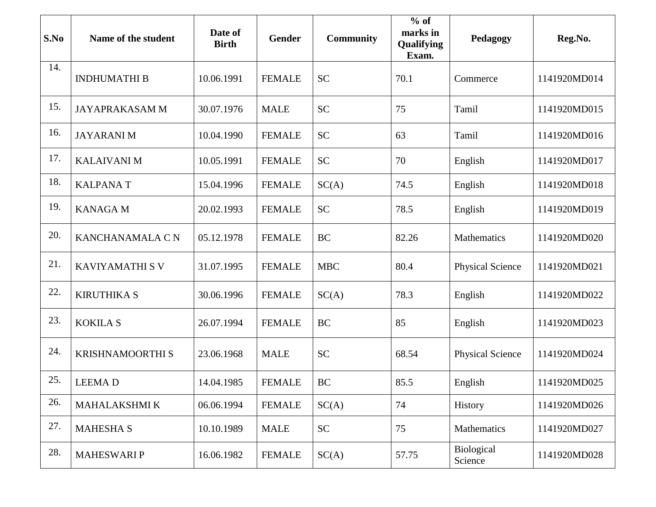| S.No | Name of the student     | Date of<br><b>Birth</b> | <b>Gender</b> | <b>Community</b> | $%$ of<br>marks in<br><b>Qualifying</b><br>Exam. | Pedagogy                     | Reg.No.      |
|------|-------------------------|-------------------------|---------------|------------------|--------------------------------------------------|------------------------------|--------------|
| 14.  | <b>INDHUMATHI B</b>     | 10.06.1991              | <b>FEMALE</b> | <b>SC</b>        | 70.1                                             | Commerce                     | 1141920MD014 |
| 15.  | <b>JAYAPRAKASAM M</b>   | 30.07.1976              | <b>MALE</b>   | <b>SC</b>        | 75                                               | Tamil                        | 1141920MD015 |
| 16.  | <b>JAYARANIM</b>        | 10.04.1990              | <b>FEMALE</b> | <b>SC</b>        | 63                                               | Tamil                        | 1141920MD016 |
| 17.  | <b>KALAIVANI M</b>      | 10.05.1991              | <b>FEMALE</b> | <b>SC</b>        | 70                                               | English                      | 1141920MD017 |
| 18.  | <b>KALPANAT</b>         | 15.04.1996              | <b>FEMALE</b> | SC(A)            | 74.5                                             | English                      | 1141920MD018 |
| 19.  | <b>KANAGA M</b>         | 20.02.1993              | <b>FEMALE</b> | <b>SC</b>        | 78.5                                             | English                      | 1141920MD019 |
| 20.  | KANCHANAMALA CN         | 05.12.1978              | <b>FEMALE</b> | <b>BC</b>        | 82.26                                            | Mathematics                  | 1141920MD020 |
| 21.  | <b>KAVIYAMATHI S V</b>  | 31.07.1995              | <b>FEMALE</b> | <b>MBC</b>       | 80.4                                             | <b>Physical Science</b>      | 1141920MD021 |
| 22.  | <b>KIRUTHIKA S</b>      | 30.06.1996              | <b>FEMALE</b> | SC(A)            | 78.3                                             | English                      | 1141920MD022 |
| 23.  | <b>KOKILAS</b>          | 26.07.1994              | <b>FEMALE</b> | <b>BC</b>        | 85                                               | English                      | 1141920MD023 |
| 24.  | <b>KRISHNAMOORTHI S</b> | 23.06.1968              | <b>MALE</b>   | <b>SC</b>        | 68.54                                            | <b>Physical Science</b>      | 1141920MD024 |
| 25.  | <b>LEEMAD</b>           | 14.04.1985              | <b>FEMALE</b> | BC               | 85.5                                             | English                      | 1141920MD025 |
| 26.  | MAHALAKSHMI K           | 06.06.1994              | <b>FEMALE</b> | SC(A)            | 74                                               | History                      | 1141920MD026 |
| 27.  | <b>MAHESHA S</b>        | 10.10.1989              | <b>MALE</b>   | <b>SC</b>        | 75                                               | Mathematics                  | 1141920MD027 |
| 28.  | <b>MAHESWARIP</b>       | 16.06.1982              | <b>FEMALE</b> | SC(A)            | 57.75                                            | <b>Biological</b><br>Science | 1141920MD028 |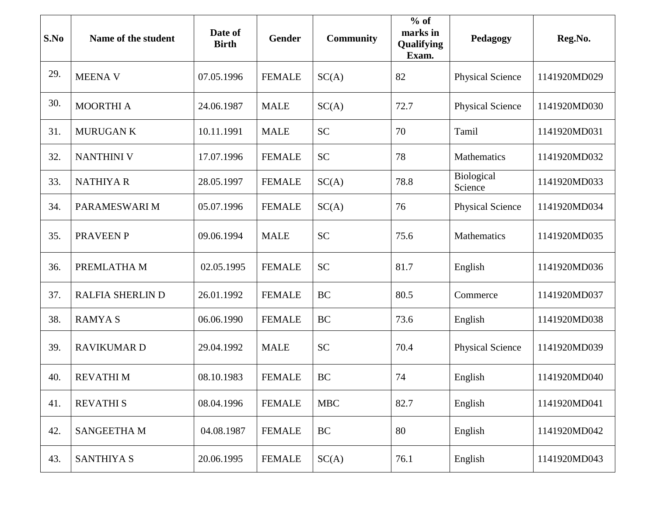| S.No | Name of the student     | Date of<br><b>Birth</b> | <b>Gender</b> | <b>Community</b> | $%$ of<br>marks in<br>Qualifying<br>Exam. | Pedagogy                | Reg.No.      |
|------|-------------------------|-------------------------|---------------|------------------|-------------------------------------------|-------------------------|--------------|
| 29.  | <b>MEENAV</b>           | 07.05.1996              | <b>FEMALE</b> | SC(A)            | 82                                        | <b>Physical Science</b> | 1141920MD029 |
| 30.  | <b>MOORTHI A</b>        | 24.06.1987              | <b>MALE</b>   | SC(A)            | 72.7                                      | <b>Physical Science</b> | 1141920MD030 |
| 31.  | <b>MURUGAN K</b>        | 10.11.1991              | <b>MALE</b>   | <b>SC</b>        | 70                                        | Tamil                   | 1141920MD031 |
| 32.  | <b>NANTHINI V</b>       | 17.07.1996              | <b>FEMALE</b> | <b>SC</b>        | 78                                        | Mathematics             | 1141920MD032 |
| 33.  | <b>NATHIYAR</b>         | 28.05.1997              | <b>FEMALE</b> | SC(A)            | 78.8                                      | Biological<br>Science   | 1141920MD033 |
| 34.  | PARAMESWARI M           | 05.07.1996              | <b>FEMALE</b> | SC(A)            | 76                                        | <b>Physical Science</b> | 1141920MD034 |
| 35.  | <b>PRAVEEN P</b>        | 09.06.1994              | <b>MALE</b>   | <b>SC</b>        | 75.6                                      | Mathematics             | 1141920MD035 |
| 36.  | PREMLATHA M             | 02.05.1995              | <b>FEMALE</b> | <b>SC</b>        | 81.7                                      | English                 | 1141920MD036 |
| 37.  | <b>RALFIA SHERLIN D</b> | 26.01.1992              | <b>FEMALE</b> | <b>BC</b>        | 80.5                                      | Commerce                | 1141920MD037 |
| 38.  | <b>RAMYAS</b>           | 06.06.1990              | <b>FEMALE</b> | <b>BC</b>        | 73.6                                      | English                 | 1141920MD038 |
| 39.  | <b>RAVIKUMARD</b>       | 29.04.1992              | <b>MALE</b>   | <b>SC</b>        | 70.4                                      | <b>Physical Science</b> | 1141920MD039 |
| 40.  | <b>REVATHIM</b>         | 08.10.1983              | <b>FEMALE</b> | <b>BC</b>        | 74                                        | English                 | 1141920MD040 |
| 41.  | <b>REVATHIS</b>         | 08.04.1996              | <b>FEMALE</b> | <b>MBC</b>       | 82.7                                      | English                 | 1141920MD041 |
| 42.  | <b>SANGEETHAM</b>       | 04.08.1987              | <b>FEMALE</b> | BC               | 80                                        | English                 | 1141920MD042 |
| 43.  | <b>SANTHIYA S</b>       | 20.06.1995              | <b>FEMALE</b> | SC(A)            | 76.1                                      | English                 | 1141920MD043 |